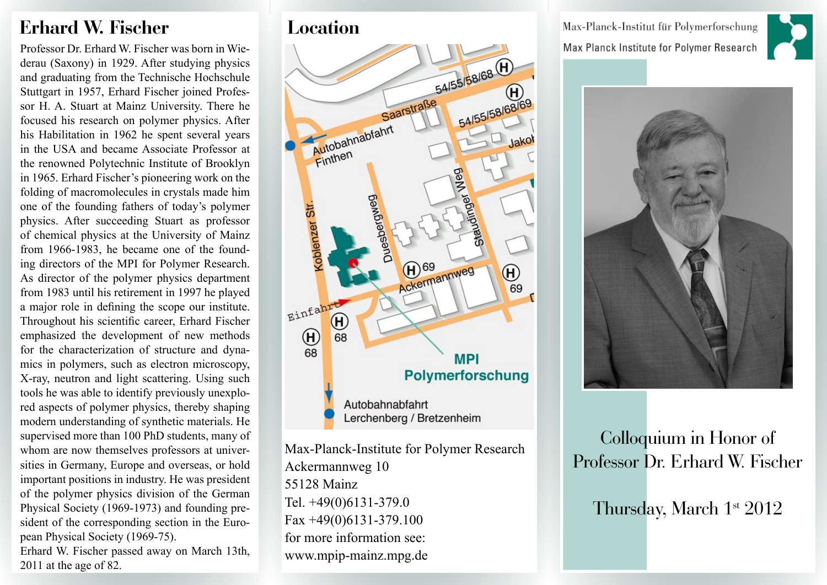# **Erhard W. Fischer Location**

Professor Dr. Erhard W. Fischer was born in Wiederau (Saxony) in 1929. After studying physics and graduating from the Technische Hochschule Stuttgart in 1957, Erhard Fischer joined Professor H. A. Stuart at Mainz University. There he focused his research on polymer physics. After his Habilitation in 1962 he spent several years in the USA and became Associate Professor at the renowned Polytechnic Institute of Brooklyn in 1965. Erhard Fischer's pioneering work on the folding of macromolecules in crystals made him one of the founding fathers of today's polymer physics. After succeeding Stuart as professor of chemical physics at the University of Mainz from 1966-1983, he became one of the founding directors of the MPI for Polymer Research. As director of the polymer physics department from 1983 until his retirement in 1997 he played a major role in defining the scope our institute. Throughout his scientific career, Erhard Fischer emphasized the development of new methods for the characterization of structure and dynamics in polymers, such as electron microscopy, X-ray, neutron and light scattering. Using such tools he was able to identify previously unexplored aspects of polymer physics, thereby shaping modern understanding of synthetic materials. He supervised more than 100 PhD students, many of whom are now themselves professors at universities in Germany, Europe and overseas, or hold important positions in industry. He was president of the polymer physics division of the German Physical Society (1969-1973) and founding president of the corresponding section in the European Physical Society (1969-75).

Erhard W. Fischer passed away on March 13th, 2011 at the age of 82.



Max-Planck-Institute for Polymer Research Ackermannweg 10 55128 Mainz Tel. +49(0)6131-379.0 Fax +49(0)6131-379.100 for more information see: [www.mpip-mainz.mpg.de](http://www.mpip-mainz.mpg.de/www/pages/institut/anreise/maps)

Max-Planck-Institut für Polymerforschung Max Planck Institute for Polymer Research





Colloquium in Honor of Professor Dr. Erhard W. Fischer

Thursday, March 1<sup>st</sup> 2012